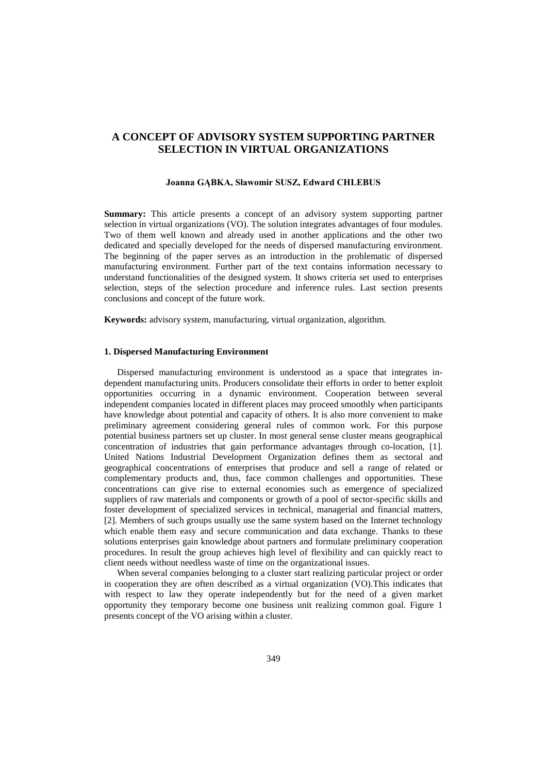# **A CONCEPT OF ADVISORY SYSTEM SUPPORTING PARTNER SELECTION IN VIRTUAL ORGANIZATIONS**

#### **Joanna GĄBKA, Sławomir SUSZ, Edward CHLEBUS**

**Summary:** This article presents a concept of an advisory system supporting partner selection in virtual organizations (VO). The solution integrates advantages of four modules. Two of them well known and already used in another applications and the other two dedicated and specially developed for the needs of dispersed manufacturing environment. The beginning of the paper serves as an introduction in the problematic of dispersed manufacturing environment. Further part of the text contains information necessary to understand functionalities of the designed system. It shows criteria set used to enterprises selection, steps of the selection procedure and inference rules. Last section presents conclusions and concept of the future work.

**Keywords:** advisory system, manufacturing, virtual organization, algorithm.

## **1. Dispersed Manufacturing Environment**

Dispersed manufacturing environment is understood as a space that integrates independent manufacturing units. Producers consolidate their efforts in order to better exploit opportunities occurring in a dynamic environment. Cooperation between several independent companies located in different places may proceed smoothly when participants have knowledge about potential and capacity of others. It is also more convenient to make preliminary agreement considering general rules of common work. For this purpose potential business partners set up cluster. In most general sense cluster means geographical concentration of industries that gain performance advantages through co-location, [1]. United Nations Industrial Development Organization defines them as sectoral and geographical concentrations of enterprises that produce and sell a range of related or complementary products and, thus, face common challenges and opportunities. These concentrations can give rise to external economies such as emergence of specialized suppliers of raw materials and components or growth of a pool of sector-specific skills and foster development of specialized services in technical, managerial and financial matters, [2]. Members of such groups usually use the same system based on the Internet technology which enable them easy and secure communication and data exchange. Thanks to these solutions enterprises gain knowledge about partners and formulate preliminary cooperation procedures. In result the group achieves high level of flexibility and can quickly react to client needs without needless waste of time on the organizational issues.

When several companies belonging to a cluster start realizing particular project or order in cooperation they are often described as a virtual organization (VO).This indicates that with respect to law they operate independently but for the need of a given market opportunity they temporary become one business unit realizing common goal. Figure 1 presents concept of the VO arising within a cluster.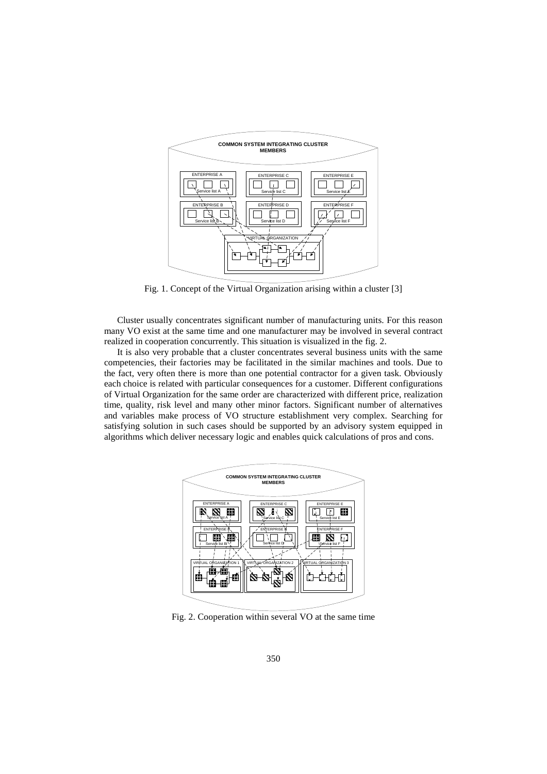

Fig. 1. Concept of the Virtual Organization arising within a cluster [3]

Cluster usually concentrates significant number of manufacturing units. For this reason many VO exist at the same time and one manufacturer may be involved in several contract realized in cooperation concurrently. This situation is visualized in the fig. 2.

It is also very probable that a cluster concentrates several business units with the same competencies, their factories may be facilitated in the similar machines and tools. Due to the fact, very often there is more than one potential contractor for a given task. Obviously each choice is related with particular consequences for a customer. Different configurations of Virtual Organization for the same order are characterized with different price, realization time, quality, risk level and many other minor factors. Significant number of alternatives and variables make process of VO structure establishment very complex. Searching for satisfying solution in such cases should be supported by an advisory system equipped in algorithms which deliver necessary logic and enables quick calculations of pros and cons.



Fig. 2. Cooperation within several VO at the same time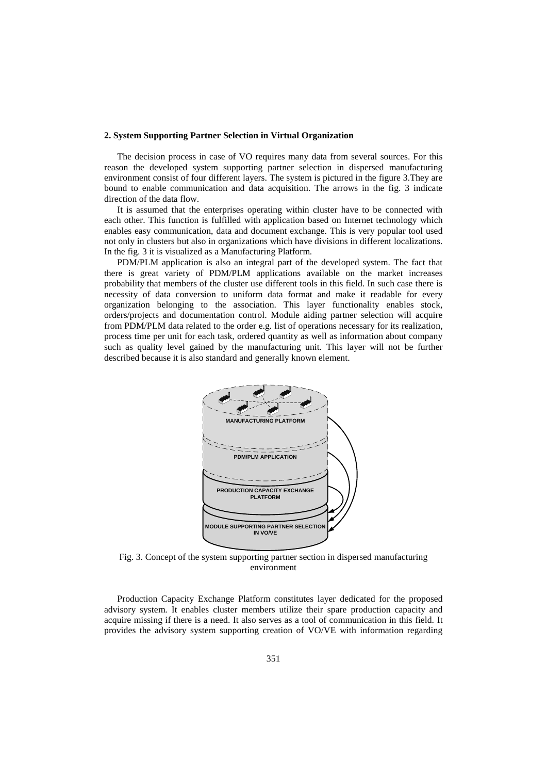#### **2. System Supporting Partner Selection in Virtual Organization**

The decision process in case of VO requires many data from several sources. For this reason the developed system supporting partner selection in dispersed manufacturing environment consist of four different layers. The system is pictured in the figure 3.They are bound to enable communication and data acquisition. The arrows in the fig. 3 indicate direction of the data flow.

It is assumed that the enterprises operating within cluster have to be connected with each other. This function is fulfilled with application based on Internet technology which enables easy communication, data and document exchange. This is very popular tool used not only in clusters but also in organizations which have divisions in different localizations. In the fig. 3 it is visualized as a Manufacturing Platform.

PDM/PLM application is also an integral part of the developed system. The fact that there is great variety of PDM/PLM applications available on the market increases probability that members of the cluster use different tools in this field. In such case there is necessity of data conversion to uniform data format and make it readable for every organization belonging to the association. This layer functionality enables stock, orders/projects and documentation control. Module aiding partner selection will acquire from PDM/PLM data related to the order e.g. list of operations necessary for its realization, process time per unit for each task, ordered quantity as well as information about company such as quality level gained by the manufacturing unit. This layer will not be further described because it is also standard and generally known element.



Fig. 3. Concept of the system supporting partner section in dispersed manufacturing environment

Production Capacity Exchange Platform constitutes layer dedicated for the proposed advisory system. It enables cluster members utilize their spare production capacity and acquire missing if there is a need. It also serves as a tool of communication in this field. It provides the advisory system supporting creation of VO/VE with information regarding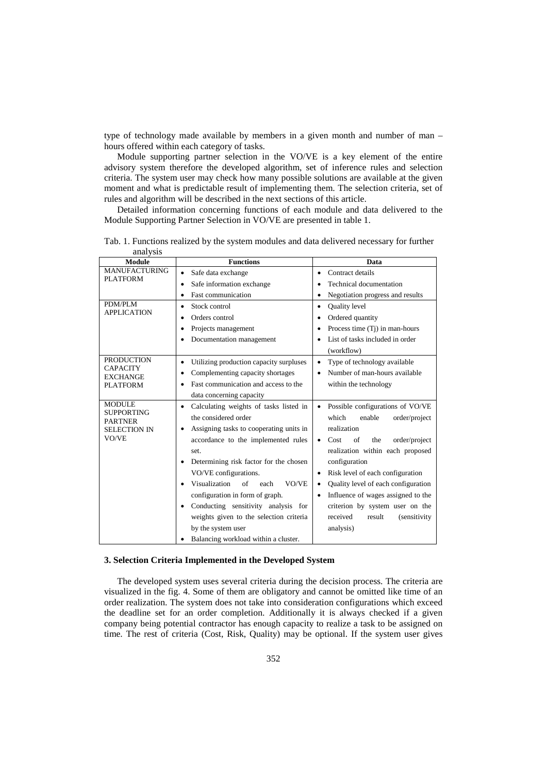type of technology made available by members in a given month and number of man – hours offered within each category of tasks.

Module supporting partner selection in the VO/VE is a key element of the entire advisory system therefore the developed algorithm, set of inference rules and selection criteria. The system user may check how many possible solutions are available at the given moment and what is predictable result of implementing them. The selection criteria, set of rules and algorithm will be described in the next sections of this article.

Detailed information concerning functions of each module and data delivered to the Module Supporting Partner Selection in VO/VE are presented in table 1.

| anai y 515<br>Module                                                                 | <b>Functions</b>                                          | Data                                            |
|--------------------------------------------------------------------------------------|-----------------------------------------------------------|-------------------------------------------------|
| <b>MANUFACTURING</b><br><b>PLATFORM</b>                                              | Safe data exchange<br>$\bullet$                           | Contract details<br>$\bullet$                   |
|                                                                                      | Safe information exchange<br>$\bullet$                    | Technical documentation                         |
|                                                                                      | <b>Fast communication</b><br>$\bullet$                    | Negotiation progress and results<br>$\bullet$   |
| PDM/PLM<br><b>APPLICATION</b>                                                        | Stock control<br>$\bullet$                                | Quality level<br>$\bullet$                      |
|                                                                                      | Orders control<br>$\bullet$                               | Ordered quantity<br>$\bullet$                   |
|                                                                                      | Projects management<br>٠                                  | Process time (Tj) in man-hours                  |
|                                                                                      | Documentation management                                  | List of tasks included in order                 |
|                                                                                      |                                                           | (workflow)                                      |
| <b>PRODUCTION</b><br><b>CAPACITY</b><br><b>EXCHANGE</b><br><b>PLATFORM</b>           | Utilizing production capacity surpluses<br>$\bullet$      | Type of technology available                    |
|                                                                                      | Complementing capacity shortages<br>٠                     | Number of man-hours available<br>$\bullet$      |
|                                                                                      | Fast communication and access to the<br>$\bullet$         | within the technology                           |
|                                                                                      | data concerning capacity                                  |                                                 |
| <b>MODULE</b><br><b>SUPPORTING</b><br><b>PARTNER</b><br><b>SELECTION IN</b><br>VO/VE | Calculating weights of tasks listed in<br>$\bullet$       | Possible configurations of VO/VE<br>٠           |
|                                                                                      | the considered order                                      | which<br>enable<br>order/project                |
|                                                                                      | Assigning tasks to cooperating units in<br>$\bullet$      | realization                                     |
|                                                                                      | accordance to the implemented rules                       | Cost<br>of<br>order/project<br>the<br>$\bullet$ |
|                                                                                      | set.                                                      | realization within each proposed                |
|                                                                                      | Determining risk factor for the chosen<br>$\bullet$       | configuration                                   |
|                                                                                      | VO/VE configurations.                                     | Risk level of each configuration                |
|                                                                                      | Visualization<br>$\alpha$ f<br>VO/VE<br>each<br>$\bullet$ | Quality level of each configuration             |
|                                                                                      | configuration in form of graph.                           | Influence of wages assigned to the<br>$\bullet$ |
|                                                                                      | Conducting sensitivity analysis for<br>$\bullet$          | criterion by system user on the                 |
|                                                                                      | weights given to the selection criteria                   | received<br>result<br><i>(sensitivity)</i>      |
|                                                                                      | by the system user                                        | analysis)                                       |
|                                                                                      | Balancing workload within a cluster.                      |                                                 |

Tab. 1. Functions realized by the system modules and data delivered necessary for further analysis

## **3. Selection Criteria Implemented in the Developed System**

The developed system uses several criteria during the decision process. The criteria are visualized in the fig. 4. Some of them are obligatory and cannot be omitted like time of an order realization. The system does not take into consideration configurations which exceed the deadline set for an order completion. Additionally it is always checked if a given company being potential contractor has enough capacity to realize a task to be assigned on time. The rest of criteria (Cost, Risk, Quality) may be optional. If the system user gives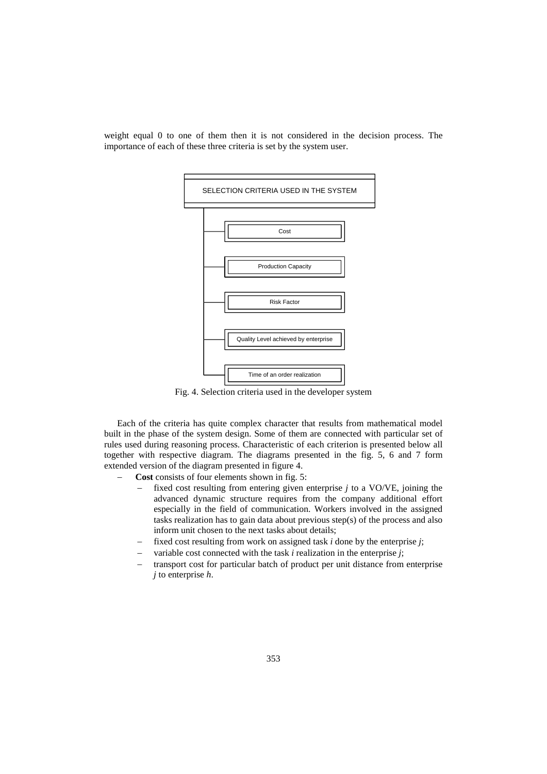

weight equal 0 to one of them then it is not considered in the decision process. The importance of each of these three criteria is set by the system user.

Fig. 4. Selection criteria used in the developer system

Each of the criteria has quite complex character that results from mathematical model built in the phase of the system design. Some of them are connected with particular set of rules used during reasoning process. Characteristic of each criterion is presented below all together with respective diagram. The diagrams presented in the fig. 5, 6 and 7 form extended version of the diagram presented in figure 4.

- − **Cost** consists of four elements shown in fig. 5:
	- fixed cost resulting from entering given enterprise *j* to a VO/VE, joining the advanced dynamic structure requires from the company additional effort especially in the field of communication. Workers involved in the assigned tasks realization has to gain data about previous step(s) of the process and also inform unit chosen to the next tasks about details;
	- fixed cost resulting from work on assigned task *i* done by the enterprise *i*;
	- − variable cost connected with the task *i* realization in the enterprise *j*;
	- transport cost for particular batch of product per unit distance from enterprise *j* to enterprise *h*.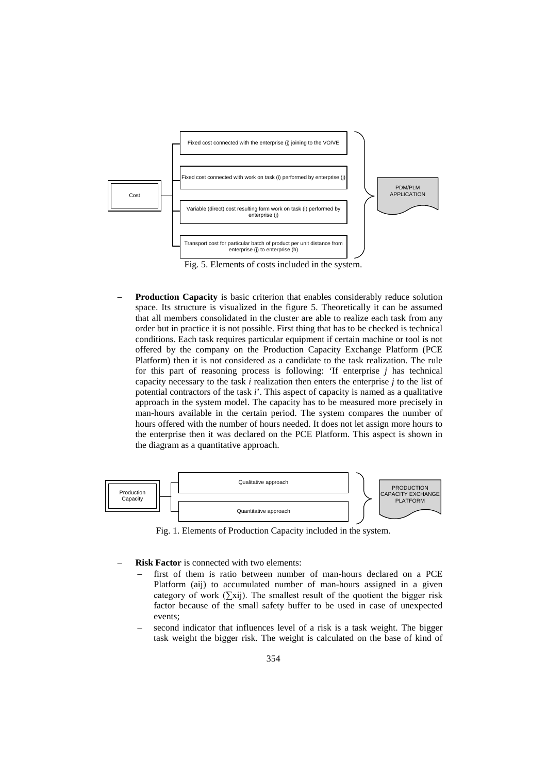

Fig. 5. Elements of costs included in the system.

**Production Capacity** is basic criterion that enables considerably reduce solution space. Its structure is visualized in the figure 5. Theoretically it can be assumed that all members consolidated in the cluster are able to realize each task from any order but in practice it is not possible. First thing that has to be checked is technical conditions. Each task requires particular equipment if certain machine or tool is not offered by the company on the Production Capacity Exchange Platform (PCE Platform) then it is not considered as a candidate to the task realization. The rule for this part of reasoning process is following: 'If enterprise *j* has technical capacity necessary to the task *i* realization then enters the enterprise *j* to the list of potential contractors of the task *i*'. This aspect of capacity is named as a qualitative approach in the system model. The capacity has to be measured more precisely in man-hours available in the certain period. The system compares the number of hours offered with the number of hours needed. It does not let assign more hours to the enterprise then it was declared on the PCE Platform. This aspect is shown in the diagram as a quantitative approach.



Fig. 1. Elements of Production Capacity included in the system.

- **Risk Factor** is connected with two elements:
	- first of them is ratio between number of man-hours declared on a PCE Platform (aij) to accumulated number of man-hours assigned in a given category of work  $(\Sigma xii)$ . The smallest result of the quotient the bigger risk factor because of the small safety buffer to be used in case of unexpected events;
	- second indicator that influences level of a risk is a task weight. The bigger task weight the bigger risk. The weight is calculated on the base of kind of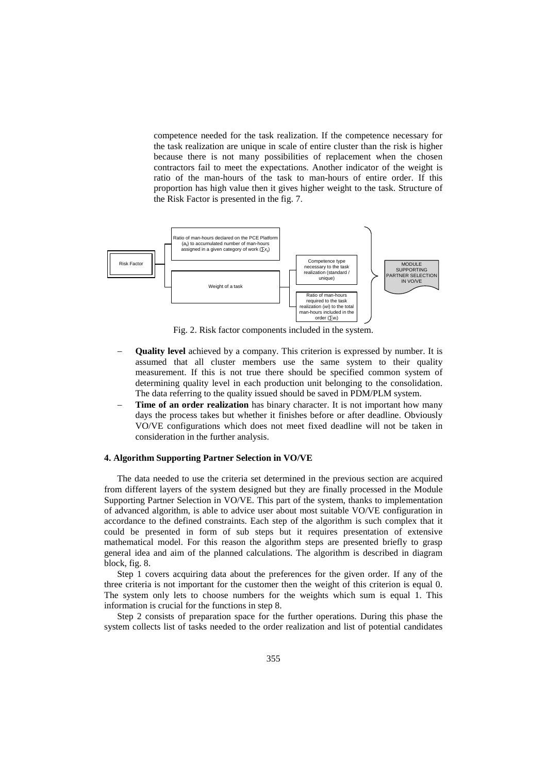competence needed for the task realization. If the competence necessary for the task realization are unique in scale of entire cluster than the risk is higher because there is not many possibilities of replacement when the chosen contractors fail to meet the expectations. Another indicator of the weight is ratio of the man-hours of the task to man-hours of entire order. If this proportion has high value then it gives higher weight to the task. Structure of the Risk Factor is presented in the fig. 7.



Fig. 2. Risk factor components included in the system.

- Quality level achieved by a company. This criterion is expressed by number. It is assumed that all cluster members use the same system to their quality measurement. If this is not true there should be specified common system of determining quality level in each production unit belonging to the consolidation. The data referring to the quality issued should be saved in PDM/PLM system.
- **Time of an order realization** has binary character. It is not important how many days the process takes but whether it finishes before or after deadline. Obviously VO/VE configurations which does not meet fixed deadline will not be taken in consideration in the further analysis.

### **4. Algorithm Supporting Partner Selection in VO/VE**

The data needed to use the criteria set determined in the previous section are acquired from different layers of the system designed but they are finally processed in the Module Supporting Partner Selection in VO/VE. This part of the system, thanks to implementation of advanced algorithm, is able to advice user about most suitable VO/VE configuration in accordance to the defined constraints. Each step of the algorithm is such complex that it could be presented in form of sub steps but it requires presentation of extensive mathematical model. For this reason the algorithm steps are presented briefly to grasp general idea and aim of the planned calculations. The algorithm is described in diagram block, fig. 8.

Step 1 covers acquiring data about the preferences for the given order. If any of the three criteria is not important for the customer then the weight of this criterion is equal 0. The system only lets to choose numbers for the weights which sum is equal 1. This information is crucial for the functions in step 8.

Step 2 consists of preparation space for the further operations. During this phase the system collects list of tasks needed to the order realization and list of potential candidates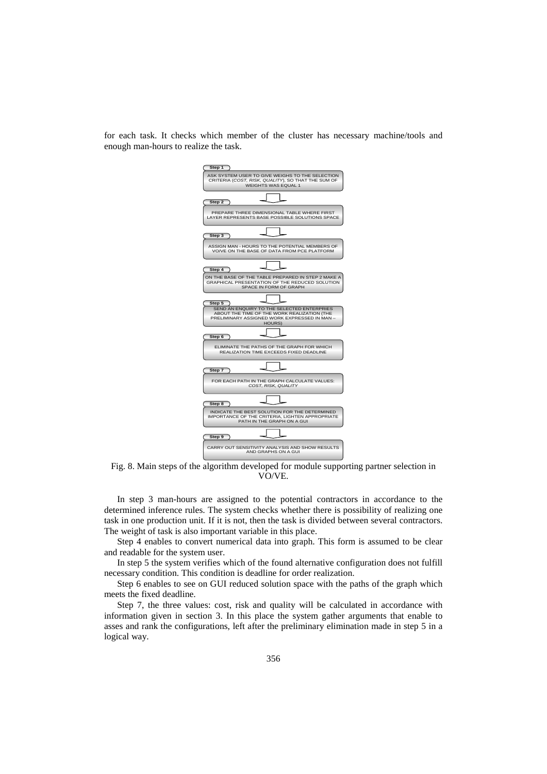for each task. It checks which member of the cluster has necessary machine/tools and enough man-hours to realize the task.



Fig. 8. Main steps of the algorithm developed for module supporting partner selection in VO/VE.

In step 3 man-hours are assigned to the potential contractors in accordance to the determined inference rules. The system checks whether there is possibility of realizing one task in one production unit. If it is not, then the task is divided between several contractors. The weight of task is also important variable in this place.

Step 4 enables to convert numerical data into graph. This form is assumed to be clear and readable for the system user.

In step 5 the system verifies which of the found alternative configuration does not fulfill necessary condition. This condition is deadline for order realization.

Step 6 enables to see on GUI reduced solution space with the paths of the graph which meets the fixed deadline.

Step 7, the three values: cost, risk and quality will be calculated in accordance with information given in section 3. In this place the system gather arguments that enable to asses and rank the configurations, left after the preliminary elimination made in step 5 in a logical way.